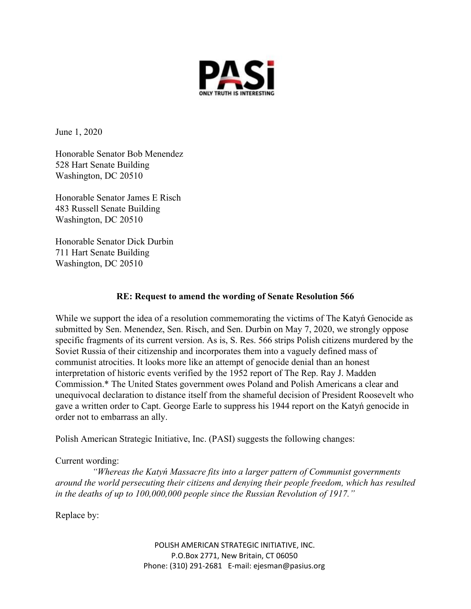

June 1, 2020

Honorable Senator Bob Menendez 528 Hart Senate Building Washington, DC 20510

Honorable Senator James E Risch 483 Russell Senate Building Washington, DC 20510

Honorable Senator Dick Durbin 711 Hart Senate Building Washington, DC 20510

## **RE: Request to amend the wording of Senate Resolution 566**

While we support the idea of a resolution commemorating the victims of The Katyń Genocide as submitted by Sen. Menendez, Sen. Risch, and Sen. Durbin on May 7, 2020, we strongly oppose specific fragments of its current version. As is, S. Res. 566 strips Polish citizens murdered by the Soviet Russia of their citizenship and incorporates them into a vaguely defined mass of communist atrocities. It looks more like an attempt of genocide denial than an honest interpretation of historic events verified by the 1952 report of The Rep. Ray J. Madden Commission.\* The United States government owes Poland and Polish Americans a clear and unequivocal declaration to distance itself from the shameful decision of President Roosevelt who gave a written order to Capt. George Earle to suppress his 1944 report on the Katyń genocide in order not to embarrass an ally.

Polish American Strategic Initiative, Inc. (PASI) suggests the following changes:

## Current wording:

 *"Whereas the Katyń Massacre fits into a larger pattern of Communist governments around the world persecuting their citizens and denying their people freedom, which has resulted in the deaths of up to 100,000,000 people since the Russian Revolution of 1917."* 

Replace by:

POLISH AMERICAN STRATEGIC INITIATIVE, INC. P.O.Box 2771, New Britain, CT 06050 Phone: (310) 291-2681 E-mail: ejesman@pasius.org